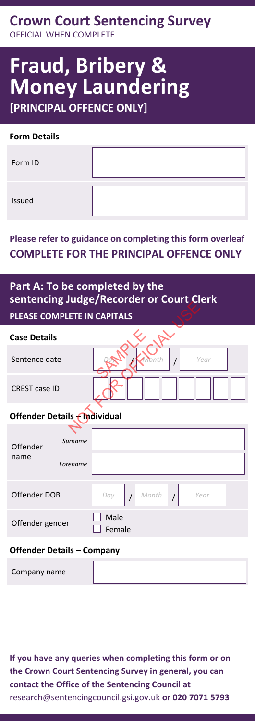## **Crown Court Sentencing Survey** OFFICIAL WHEN COMPLETE

# **Fraud, Bribery & Money Laundering [PRINCIPAL OFFENCE ONLY]**

#### **Form Details**

| Form ID |  |
|---------|--|
| Issued  |  |

## **Please refer to guidance on completing this form overleaf COMPLETE FOR THE PRINCIPAL OFFENCE ONLY**

# **Part A: To be completed by the sentencing Judge/Recorder or Court Clerk PLEASE COMPLETE IN CAPITALS**

| $s$ chtenting Juuge $\prime$ netoruer or Court Sierk |                     |                |            |          |      |  |
|------------------------------------------------------|---------------------|----------------|------------|----------|------|--|
| PLEASE COMPLETE IN CAPITALS                          |                     |                |            |          |      |  |
| <b>Case Details</b>                                  |                     |                |            |          |      |  |
| Sentence date                                        |                     |                | onth       |          | Year |  |
| <b>CREST case ID</b>                                 |                     |                |            |          |      |  |
| Offender Details - Individual                        |                     |                |            |          |      |  |
| Offender<br>name                                     | Surname<br>Forename |                |            |          |      |  |
| Offender DOB                                         |                     | Day            | Month<br>/ | $\prime$ | Year |  |
| Offender gender                                      |                     | Male<br>Female |            |          |      |  |
| <b>Offender Details - Company</b>                    |                     |                |            |          |      |  |
| Company name                                         |                     |                |            |          |      |  |

**If you have any queries when completing this form or on the Crown Court Sentencing Survey in general, you can contact the Office of the Sentencing Council at** [research@sentencingcouncil.gsi.gov.uk](mailto:research@sentencingcouncil.gsi.gov.uk) **or 020 7071 5793**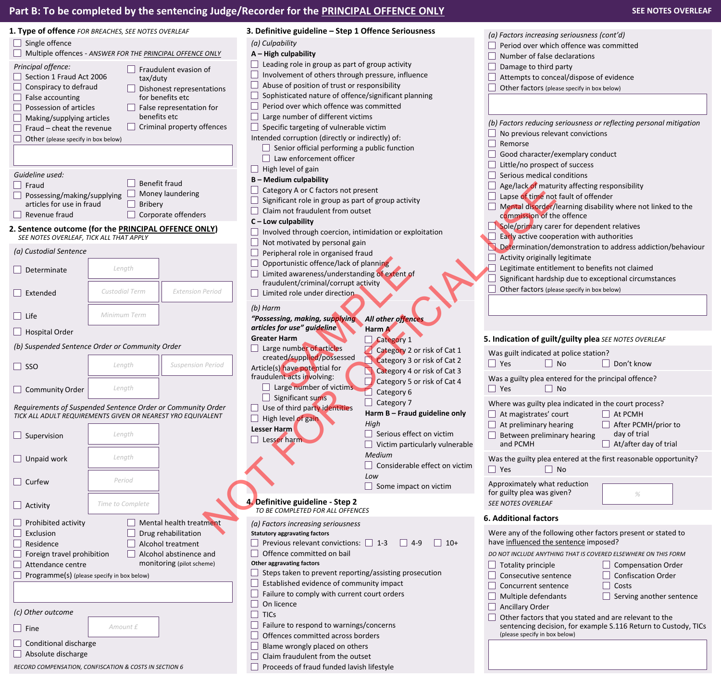# **Part B: To be completed by the sentencing Judge/Recorder for the <b>PRINCIPAL OFFENCE ONLY SEE ROLY** SEE NOTES OVERLEAF

|                                             | 1. Type of offence FOR BREACHES, SEE NOTES OVERLEAF         |                                   | 3. Definitive guideline - Step 1 Offence Seriousness                                              |                                                        |  |
|---------------------------------------------|-------------------------------------------------------------|-----------------------------------|---------------------------------------------------------------------------------------------------|--------------------------------------------------------|--|
| Single offence                              |                                                             |                                   | (a) Culpability                                                                                   |                                                        |  |
|                                             | Multiple offences - ANSWER FOR THE PRINCIPAL OFFENCE ONLY   |                                   | A - High culpability                                                                              |                                                        |  |
| Principal offence:<br>Fraudulent evasion of |                                                             |                                   | Leading role in group as part of group activity                                                   |                                                        |  |
| Section 1 Fraud Act 2006<br>tax/duty        |                                                             |                                   | Involvement of others through pressure, influence<br>Abuse of position of trust or responsibility |                                                        |  |
| Conspiracy to defraud                       |                                                             | Dishonest representations         | Sophisticated nature of offence/significant planning                                              |                                                        |  |
| False accounting<br>Possession of articles  | for benefits etc<br>False representation for                |                                   | Period over which offence was committed                                                           |                                                        |  |
| Making/supplying articles                   | benefits etc                                                |                                   | Large number of different victims                                                                 |                                                        |  |
| Fraud - cheat the revenue                   |                                                             | Criminal property offences        | Specific targeting of vulnerable victim                                                           |                                                        |  |
| Other (please specify in box below)         |                                                             |                                   | Intended corruption (directly or indirectly) of:                                                  |                                                        |  |
|                                             |                                                             |                                   | Senior official performing a public function                                                      |                                                        |  |
|                                             |                                                             |                                   | Law enforcement officer                                                                           |                                                        |  |
| Guideline used:                             |                                                             |                                   | High level of gain<br>$\Box$                                                                      |                                                        |  |
| Fraud                                       | Benefit fraud                                               |                                   | <b>B-Medium culpability</b>                                                                       |                                                        |  |
| Possessing/making/supplying                 | Money laundering                                            |                                   | Category A or C factors not present                                                               |                                                        |  |
| articles for use in fraud                   | <b>Bribery</b>                                              |                                   | Significant role in group as part of group activity<br>Claim not fraudulent from outset           |                                                        |  |
| Revenue fraud                               | Corporate offenders                                         |                                   | $C$ – Low culpability                                                                             |                                                        |  |
|                                             | 2. Sentence outcome (for the PRINCIPAL OFFENCE ONLY)        |                                   | Involved through coercion, intimidation or exploitation                                           |                                                        |  |
| SEE NOTES OVERLEAF, TICK ALL THAT APPLY     |                                                             |                                   | Not motivated by personal gain                                                                    |                                                        |  |
| (a) Custodial Sentence                      |                                                             |                                   | Peripheral role in organised fraud                                                                |                                                        |  |
|                                             | Length                                                      |                                   | Opportunistic offence/lack of planning                                                            |                                                        |  |
| Determinate                                 |                                                             |                                   | Limited awareness/understanding of extent of                                                      |                                                        |  |
|                                             | Custodial Term                                              | <b>Extension Period</b>           | fraudulent/criminal/corrupt activity                                                              |                                                        |  |
| Extended                                    |                                                             |                                   | Limited role under direction                                                                      |                                                        |  |
|                                             |                                                             |                                   | (b) Harm                                                                                          |                                                        |  |
| Life                                        | Minimum Term                                                |                                   | "Possessing, making, supplying                                                                    | All other offences                                     |  |
| <b>Hospital Order</b>                       |                                                             |                                   | articles for use" guideline<br><b>Greater Harm</b>                                                | Harm A                                                 |  |
|                                             | (b) Suspended Sentence Order or Community Order             |                                   | Large number of articles                                                                          | <b>Category 1</b>                                      |  |
|                                             |                                                             |                                   | created/supplied/possessed                                                                        | Category 2 or risk of Cat<br>Category 3 or risk of Cat |  |
| SSO                                         | Length                                                      | <b>Suspension Period</b>          | Article(s) have potential for                                                                     | Category 4 or risk of Cat                              |  |
|                                             |                                                             |                                   | fraudulent acts involving:                                                                        | Category 5 or risk of Cat                              |  |
| Community Order                             | Length                                                      |                                   | $\Box$ Large number of victims                                                                    | Category 6                                             |  |
|                                             | Requirements of Suspended Sentence Order or Community Order |                                   | Significant sums<br>Use of third party identities                                                 | Category 7                                             |  |
|                                             | TICK ALL ADULT REQUIREMENTS GIVEN OR NEAREST YRO EQUIVALENT |                                   | High level of gain                                                                                | Harm B - Fraud guideline or                            |  |
|                                             |                                                             |                                   | <b>Lesser Harm</b>                                                                                | High                                                   |  |
| Supervision                                 | Length                                                      |                                   | Lesser harm                                                                                       | Serious effect on victim                               |  |
|                                             |                                                             |                                   |                                                                                                   | Victim particularly vulner                             |  |
| Unpaid work                                 | Length                                                      |                                   |                                                                                                   | Medium<br>Considerable effect on vi                    |  |
|                                             |                                                             |                                   |                                                                                                   | Low                                                    |  |
| Curfew                                      | Period                                                      |                                   |                                                                                                   | Some impact on victim                                  |  |
|                                             |                                                             |                                   |                                                                                                   |                                                        |  |
| Activity                                    | Time to Complete                                            |                                   | 4. Definitive guideline - Step 2<br>TO BE COMPLETED FOR ALL OFFENCES                              |                                                        |  |
| Prohibited activity                         |                                                             | Mental health treatment           |                                                                                                   |                                                        |  |
| Exclusion                                   | Drug rehabilitation                                         |                                   | (a) Factors increasing seriousness<br><b>Statutory aggravating factors</b>                        |                                                        |  |
| Residence                                   | Alcohol treatment                                           |                                   | Previous relevant convictions: $\Box$ 1-3                                                         | $\vert$ 4-9<br>$10+$                                   |  |
| Foreign travel prohibition                  | Alcohol abstinence and                                      |                                   | Offence committed on bail                                                                         |                                                        |  |
| Attendance centre                           | monitoring (pilot scheme)                                   |                                   | Other aggravating factors                                                                         |                                                        |  |
|                                             | Programme(s) (please specify in box below)                  |                                   | Steps taken to prevent reporting/assisting prosecution                                            |                                                        |  |
|                                             |                                                             |                                   | Established evidence of community impact                                                          |                                                        |  |
|                                             |                                                             |                                   | Failure to comply with current court orders                                                       |                                                        |  |
| (c) Other outcome                           |                                                             |                                   | On licence<br><b>TICs</b>                                                                         |                                                        |  |
|                                             |                                                             |                                   | Failure to respond to warnings/concerns                                                           |                                                        |  |
| Amount £<br>Fine                            |                                                             | Offences committed across borders |                                                                                                   |                                                        |  |
| Conditional discharge                       |                                                             |                                   | Blame wrongly placed on others                                                                    |                                                        |  |
| Absolute discharge                          |                                                             |                                   | Claim fraudulent from the outset                                                                  |                                                        |  |
|                                             | RECORD COMPENSATION, CONFISCATION & COSTS IN SECTION 6      |                                   | Proceeds of fraud funded lavish lifestyle                                                         |                                                        |  |

|                 | 3. Definitive guideline - Step 1 Offence Seriousness           | (a) Factors increasing seriousness (cont'd)                                                           |
|-----------------|----------------------------------------------------------------|-------------------------------------------------------------------------------------------------------|
|                 | (a) Culpability                                                | Period over which offence was committed                                                               |
| : ONLY          | A - High culpability                                           | Number of false declarations                                                                          |
|                 | Leading role in group as part of group activity                | Damage to third party                                                                                 |
| of              | Involvement of others through pressure, influence              | Attempts to conceal/dispose of evidence                                                               |
|                 | Abuse of position of trust or responsibility                   | Other factors (please specify in box below)                                                           |
| itations        | Sophisticated nature of offence/significant planning           |                                                                                                       |
| n for           | Period over which offence was committed                        |                                                                                                       |
|                 | Large number of different victims                              |                                                                                                       |
| <b>offences</b> | Specific targeting of vulnerable victim                        | (b) Factors reducing seriousness or reflecting personal mitigation                                    |
|                 | Intended corruption (directly or indirectly) of:               | No previous relevant convictions                                                                      |
|                 | Senior official performing a public function                   | Remorse                                                                                               |
|                 | Law enforcement officer                                        | Good character/exemplary conduct                                                                      |
|                 |                                                                | Little/no prospect of success                                                                         |
|                 | High level of gain                                             | Serious medical conditions                                                                            |
|                 | <b>B-Medium culpability</b>                                    | Age/lack of maturity affecting responsibility                                                         |
|                 | Category A or C factors not present                            | Lapse of time not fault of offender                                                                   |
|                 | Significant role in group as part of group activity            | Mental disorder/learning disability where not linked to the                                           |
| S.              | Claim not fraudulent from outset                               | commission of the offence                                                                             |
| NLY)            | $C$ – Low culpability                                          | Sole/primary carer for dependent relatives                                                            |
|                 | Involved through coercion, intimidation or exploitation        | Early active cooperation with authorities                                                             |
|                 | Not motivated by personal gain                                 | Determination/demonstration to address addiction/behaviour                                            |
|                 | Peripheral role in organised fraud                             | Activity originally legitimate                                                                        |
|                 | Opportunistic offence/lack of planning                         | Legitimate entitlement to benefits not claimed                                                        |
|                 | Limited awareness/understanding of extent of                   | Significant hardship due to exceptional circumstances                                                 |
| Period          | fraudulent/criminal/corrupt activity                           | Other factors (please specify in box below)                                                           |
|                 | Limited role under direction                                   |                                                                                                       |
|                 | (b) Harm                                                       |                                                                                                       |
|                 | "Possessing, making, supplying<br>All other offences           |                                                                                                       |
|                 | articles for use" guideline<br>Harm A                          |                                                                                                       |
|                 | <b>Greater Harm</b><br><b>Category 1</b>                       | 5. Indication of guilt/guilty plea SEE NOTES OVERLEAF                                                 |
|                 | Large number of articles<br>Category 2 or risk of Cat 1        | Was guilt indicated at police station?                                                                |
|                 | created/supplied/possessed<br>Category 3 or risk of Cat 2      | Yes<br><b>No</b><br>Don't know                                                                        |
| Period          | Article(s) have potential for<br>Category 4 or risk of Cat 3   |                                                                                                       |
|                 | fraudulent acts involving:<br>Category 5 or risk of Cat 4      | Was a guilty plea entered for the principal offence?                                                  |
|                 | Large number of victims<br>Category 6                          | No<br>Yes<br>$\Box$                                                                                   |
|                 | Significant sums<br>Category 7                                 | Where was guilty plea indicated in the court process?                                                 |
| y Order         | Use of third party identities<br>Harm B - Fraud guideline only | At magistrates' court<br>At PCMH                                                                      |
| 'ALENT          | High level of gain<br>High                                     | At preliminary hearing<br>After PCMH/prior to                                                         |
|                 | <b>Lesser Harm</b><br>Serious effect on victim                 | day of trial<br>Between preliminary hearing                                                           |
|                 | Lesser harm<br>Victim particularly vulnerable                  | At/after day of trial<br>and PCMH                                                                     |
|                 | Medium                                                         |                                                                                                       |
|                 | Considerable effect on victim                                  | Was the guilty plea entered at the first reasonable opportunity?                                      |
|                 | Low                                                            | $\Box$ Yes<br>No<br>$\Box$                                                                            |
|                 | Some impact on victim                                          | Approximately what reduction                                                                          |
|                 |                                                                | for guilty plea was given?<br>$\%$                                                                    |
|                 | 4. Definitive guideline - Step 2                               | <b>SEE NOTES OVERLEAF</b>                                                                             |
|                 | TO BE COMPLETED FOR ALL OFFENCES                               | <b>6. Additional factors</b>                                                                          |
| tment           | (a) Factors increasing seriousness                             |                                                                                                       |
|                 | <b>Statutory aggravating factors</b>                           | Were any of the following other factors present or stated to<br>have influenced the sentence imposed? |
|                 | Previous relevant convictions: $\Box$ 1-3<br>$10+$<br>4-9      |                                                                                                       |
| and             | Offence committed on bail                                      | DO NOT INCLUDE ANYTHING THAT IS COVERED ELSEWHERE ON THIS FORM                                        |
| eme)            | Other aggravating factors                                      | Totality principle<br><b>Compensation Order</b>                                                       |
|                 | Steps taken to prevent reporting/assisting prosecution         | Consecutive sentence<br><b>Confiscation Order</b>                                                     |
|                 | Established evidence of community impact                       | Concurrent sentence<br>Costs                                                                          |
|                 | Failure to comply with current court orders                    | Multiple defendants<br>Serving another sentence                                                       |
|                 | On licence                                                     | Ancillary Order                                                                                       |
|                 | <b>TICs</b>                                                    | Other factors that you stated and are relevant to the                                                 |
|                 | Failure to respond to warnings/concerns                        | sentencing decision, for example S.116 Return to Custody, TICs                                        |
|                 | Offences committed across borders                              | (please specify in box below)                                                                         |
|                 | Blame wrongly placed on others                                 |                                                                                                       |